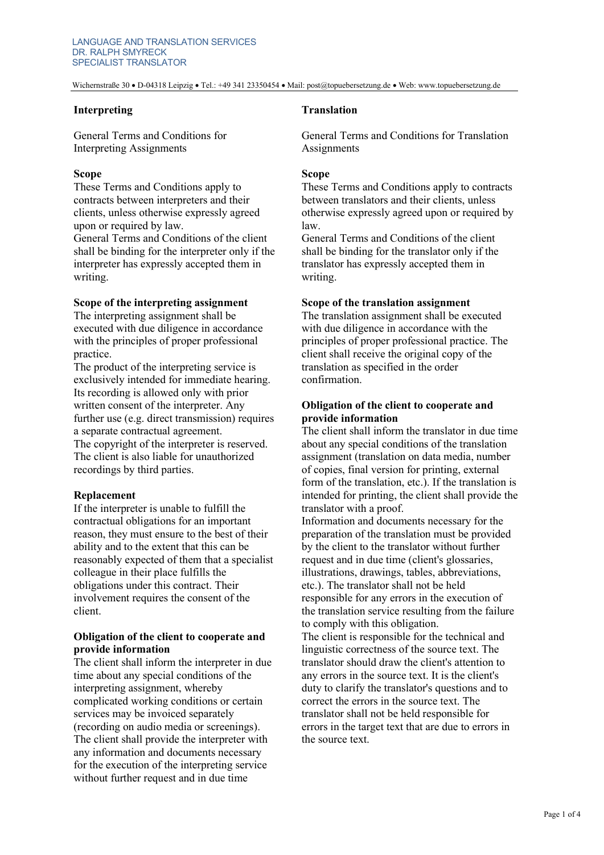Wichernstraße 30 • D-04318 Leipzig • Tel.: +49 341 23350454 • Mail: post@topuebersetzung.de • Web: www.topuebersetzung.de

### **Interpreting**

General Terms and Conditions for Interpreting Assignments

### **Scope**

These Terms and Conditions apply to contracts between interpreters and their clients, unless otherwise expressly agreed upon or required by law.

General Terms and Conditions of the client shall be binding for the interpreter only if the interpreter has expressly accepted them in writing.

## **Scope of the interpreting assignment**

The interpreting assignment shall be executed with due diligence in accordance with the principles of proper professional practice.

The product of the interpreting service is exclusively intended for immediate hearing. Its recording is allowed only with prior written consent of the interpreter. Any further use (e.g. direct transmission) requires a separate contractual agreement. The copyright of the interpreter is reserved.

The client is also liable for unauthorized recordings by third parties.

## **Replacement**

If the interpreter is unable to fulfill the contractual obligations for an important reason, they must ensure to the best of their ability and to the extent that this can be reasonably expected of them that a specialist colleague in their place fulfills the obligations under this contract. Their involvement requires the consent of the client.

## **Obligation of the client to cooperate and provide information**

The client shall inform the interpreter in due time about any special conditions of the interpreting assignment, whereby complicated working conditions or certain services may be invoiced separately (recording on audio media or screenings). The client shall provide the interpreter with any information and documents necessary for the execution of the interpreting service without further request and in due time

## **Translation**

General Terms and Conditions for Translation **Assignments** 

#### **Scope**

These Terms and Conditions apply to contracts between translators and their clients, unless otherwise expressly agreed upon or required by law.

General Terms and Conditions of the client shall be binding for the translator only if the translator has expressly accepted them in writing.

#### **Scope of the translation assignment**

The translation assignment shall be executed with due diligence in accordance with the principles of proper professional practice. The client shall receive the original copy of the translation as specified in the order confirmation.

# **Obligation of the client to cooperate and provide information**

The client shall inform the translator in due time about any special conditions of the translation assignment (translation on data media, number of copies, final version for printing, external form of the translation, etc.). If the translation is intended for printing, the client shall provide the translator with a proof.

Information and documents necessary for the preparation of the translation must be provided by the client to the translator without further request and in due time (client's glossaries, illustrations, drawings, tables, abbreviations, etc.). The translator shall not be held responsible for any errors in the execution of the translation service resulting from the failure to comply with this obligation.

The client is responsible for the technical and linguistic correctness of the source text. The translator should draw the client's attention to any errors in the source text. It is the client's duty to clarify the translator's questions and to correct the errors in the source text. The translator shall not be held responsible for errors in the target text that are due to errors in the source text.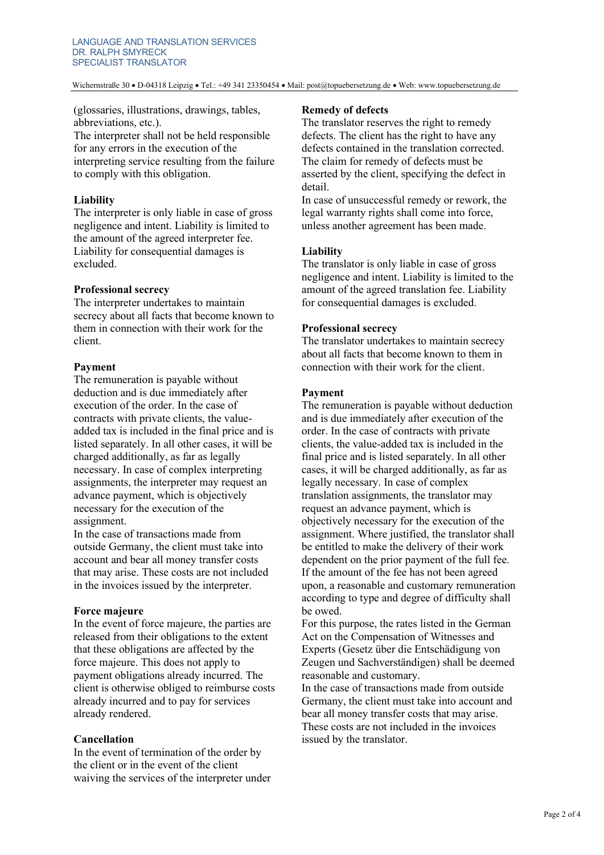Wichernstraße 30 • D-04318 Leipzig • Tel.: +49 341 23350454 • Mail: post@topuebersetzung.de • Web: www.topuebersetzung.de

(glossaries, illustrations, drawings, tables, abbreviations, etc.). The interpreter shall not be held responsible for any errors in the execution of the interpreting service resulting from the failure to comply with this obligation.

### **Liability**

The interpreter is only liable in case of gross negligence and intent. Liability is limited to the amount of the agreed interpreter fee. Liability for consequential damages is excluded.

### **Professional secrecy**

The interpreter undertakes to maintain secrecy about all facts that become known to them in connection with their work for the client.

## **Payment**

The remuneration is payable without deduction and is due immediately after execution of the order. In the case of contracts with private clients, the valueadded tax is included in the final price and is listed separately. In all other cases, it will be charged additionally, as far as legally necessary. In case of complex interpreting assignments, the interpreter may request an advance payment, which is objectively necessary for the execution of the assignment.

In the case of transactions made from outside Germany, the client must take into account and bear all money transfer costs that may arise. These costs are not included in the invoices issued by the interpreter.

## **Force majeure**

In the event of force majeure, the parties are released from their obligations to the extent that these obligations are affected by the force majeure. This does not apply to payment obligations already incurred. The client is otherwise obliged to reimburse costs already incurred and to pay for services already rendered.

## **Cancellation**

In the event of termination of the order by the client or in the event of the client waiving the services of the interpreter under

### **Remedy of defects**

The translator reserves the right to remedy defects. The client has the right to have any defects contained in the translation corrected. The claim for remedy of defects must be asserted by the client, specifying the defect in detail.

In case of unsuccessful remedy or rework, the legal warranty rights shall come into force, unless another agreement has been made.

### **Liability**

The translator is only liable in case of gross negligence and intent. Liability is limited to the amount of the agreed translation fee. Liability for consequential damages is excluded.

### **Professional secrecy**

The translator undertakes to maintain secrecy about all facts that become known to them in connection with their work for the client.

### **Payment**

The remuneration is payable without deduction and is due immediately after execution of the order. In the case of contracts with private clients, the value-added tax is included in the final price and is listed separately. In all other cases, it will be charged additionally, as far as legally necessary. In case of complex translation assignments, the translator may request an advance payment, which is objectively necessary for the execution of the assignment. Where justified, the translator shall be entitled to make the delivery of their work dependent on the prior payment of the full fee. If the amount of the fee has not been agreed upon, a reasonable and customary remuneration according to type and degree of difficulty shall be owed.

For this purpose, the rates listed in the German Act on the Compensation of Witnesses and Experts (Gesetz über die Entschädigung von Zeugen und Sachverständigen) shall be deemed reasonable and customary.

In the case of transactions made from outside Germany, the client must take into account and bear all money transfer costs that may arise. These costs are not included in the invoices issued by the translator.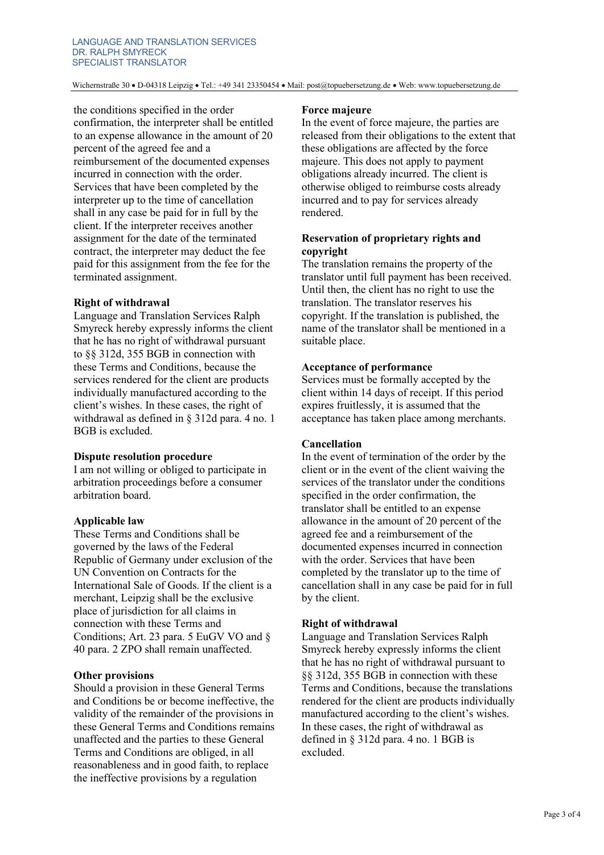Wichernstraße 30 • D-04318 Leipzig • Tel.: +49 341 23350454 • Mail: post@topuebersetzung.de • Web: www.topuebersetzung.de

the conditions specified in the order confirmation, the interpreter shall be entitled to an expense allowance in the amount of 20 percent of the agreed fee and a reimbursement of the documented expenses incurred in connection with the order. Services that have been completed by the interpreter up to the time of cancellation shall in any case be paid for in full by the client. If the interpreter receives another assignment for the date of the terminated contract, the interpreter may deduct the fee paid for this assignment from the fee for the terminated assignment.

### **Right of withdrawal**

Language and Translation Services Ralph Smyreck hereby expressly informs the client that he has no right of withdrawal pursuant to §§ 312d, 355 BGB in connection with these Terms and Conditions, because the services rendered for the client are products individually manufactured according to the client's wishes. In these cases, the right of withdrawal as defined in § 312d para. 4 no. 1 BGB is excluded.

#### **Dispute resolution procedure**

I am not willing or obliged to participate in arbitration proceedings before a consumer arbitration board.

## **Applicable law**

These Terms and Conditions shall be governed by the laws of the Federal Republic of Germany under exclusion of the UN Convention on Contracts for the International Sale of Goods. If the client is a merchant, Leipzig shall be the exclusive place of jurisdiction for all claims in connection with these Terms and Conditions; Art. 23 para. 5 EuGV VO and § 40 para. 2 ZPO shall remain unaffected.

## **Other provisions**

Should a provision in these General Terms and Conditions be or become ineffective, the validity of the remainder of the provisions in these General Terms and Conditions remains unaffected and the parties to these General Terms and Conditions are obliged, in all reasonableness and in good faith, to replace the ineffective provisions by a regulation

#### **Force majeure**

In the event of force majeure, the parties are released from their obligations to the extent that these obligations are affected by the force majeure. This does not apply to payment obligations already incurred. The client is otherwise obliged to reimburse costs already incurred and to pay for services already rendered.

# **Reservation of proprietary rights and copyright**

The translation remains the property of the translator until full payment has been received. Until then, the client has no right to use the translation. The translator reserves his copyright. If the translation is published, the name of the translator shall be mentioned in a suitable place.

### **Acceptance of performance**

Services must be formally accepted by the client within 14 days of receipt. If this period expires fruitlessly, it is assumed that the acceptance has taken place among merchants.

## **Cancellation**

In the event of termination of the order by the client or in the event of the client waiving the services of the translator under the conditions specified in the order confirmation, the translator shall be entitled to an expense allowance in the amount of 20 percent of the agreed fee and a reimbursement of the documented expenses incurred in connection with the order. Services that have been completed by the translator up to the time of cancellation shall in any case be paid for in full by the client.

## **Right of withdrawal**

Language and Translation Services Ralph Smyreck hereby expressly informs the client that he has no right of withdrawal pursuant to §§ 312d, 355 BGB in connection with these Terms and Conditions, because the translations rendered for the client are products individually manufactured according to the client's wishes. In these cases, the right of withdrawal as defined in § 312d para. 4 no. 1 BGB is excluded.